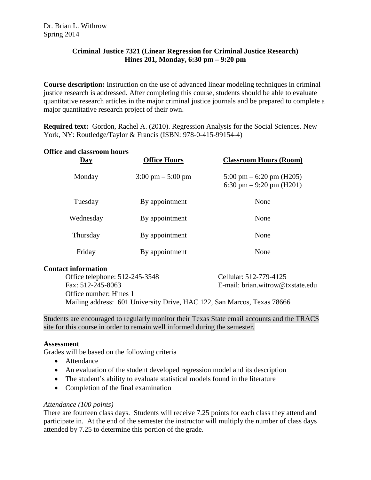# **Criminal Justice 7321 (Linear Regression for Criminal Justice Research) Hines 201, Monday, 6:30 pm – 9:20 pm**

**Course description:** Instruction on the use of advanced linear modeling techniques in criminal justice research is addressed. After completing this course, students should be able to evaluate quantitative research articles in the major criminal justice journals and be prepared to complete a major quantitative research project of their own.

**Required text:** Gordon, Rachel A. (2010). Regression Analysis for the Social Sciences. New York, NY: Routledge/Taylor & Francis (ISBN: 978-0-415-99154-4)

## **Office and classroom hours**

| <u>Day</u> | <b>Office Hours</b>                 | <b>Classroom Hours (Room)</b>                                           |
|------------|-------------------------------------|-------------------------------------------------------------------------|
| Monday     | $3:00 \text{ pm} - 5:00 \text{ pm}$ | $5:00 \text{ pm} - 6:20 \text{ pm}$ (H205)<br>6:30 pm $-9:20$ pm (H201) |
| Tuesday    | By appointment                      | None                                                                    |
| Wednesday  | By appointment                      | None                                                                    |
| Thursday   | By appointment                      | None                                                                    |
| Friday     | By appointment                      | None                                                                    |

## **Contact information**

Office telephone: 512-245-3548 Cellular: 512-779-4125 Fax: 512-245-8063 E-mail: brian.witrow@txstate.edu Office number: Hines 1 Mailing address: 601 University Drive, HAC 122, San Marcos, Texas 78666

Students are encouraged to regularly monitor their Texas State email accounts and the TRACS site for this course in order to remain well informed during the semester.

#### **Assessment**

Grades will be based on the following criteria

- Attendance
- An evaluation of the student developed regression model and its description
- The student's ability to evaluate statistical models found in the literature
- Completion of the final examination

#### *Attendance (100 points)*

There are fourteen class days. Students will receive 7.25 points for each class they attend and participate in. At the end of the semester the instructor will multiply the number of class days attended by 7.25 to determine this portion of the grade.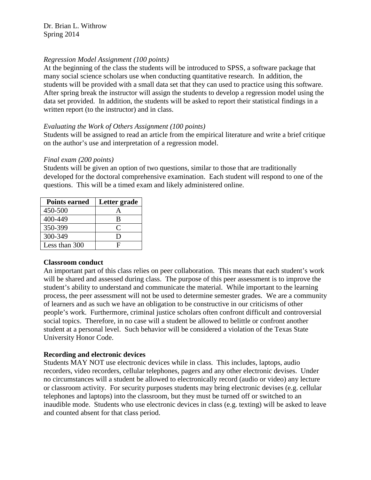# *Regression Model Assignment (100 points)*

At the beginning of the class the students will be introduced to SPSS, a software package that many social science scholars use when conducting quantitative research. In addition, the students will be provided with a small data set that they can used to practice using this software. After spring break the instructor will assign the students to develop a regression model using the data set provided. In addition, the students will be asked to report their statistical findings in a written report (to the instructor) and in class.

## *Evaluating the Work of Others Assignment (100 points)*

Students will be assigned to read an article from the empirical literature and write a brief critique on the author's use and interpretation of a regression model.

## *Final exam (200 points)*

Students will be given an option of two questions, similar to those that are traditionally developed for the doctoral comprehensive examination. Each student will respond to one of the questions. This will be a timed exam and likely administered online.

| <b>Points earned</b> | Letter grade |
|----------------------|--------------|
| 450-500              |              |
| 400-449              | B            |
| 350-399              | €            |
| 300-349              | ו ו          |
| Less than 300        | Ħ            |

## **Classroom conduct**

An important part of this class relies on peer collaboration. This means that each student's work will be shared and assessed during class. The purpose of this peer assessment is to improve the student's ability to understand and communicate the material. While important to the learning process, the peer assessment will not be used to determine semester grades. We are a community of learners and as such we have an obligation to be constructive in our criticisms of other people's work. Furthermore, criminal justice scholars often confront difficult and controversial social topics. Therefore, in no case will a student be allowed to belittle or confront another student at a personal level. Such behavior will be considered a violation of the Texas State University Honor Code.

# **Recording and electronic devices**

Students MAY NOT use electronic devices while in class. This includes, laptops, audio recorders, video recorders, cellular telephones, pagers and any other electronic devises. Under no circumstances will a student be allowed to electronically record (audio or video) any lecture or classroom activity. For security purposes students may bring electronic devises (e.g. cellular telephones and laptops) into the classroom, but they must be turned off or switched to an inaudible mode. Students who use electronic devices in class (e.g. texting) will be asked to leave and counted absent for that class period.